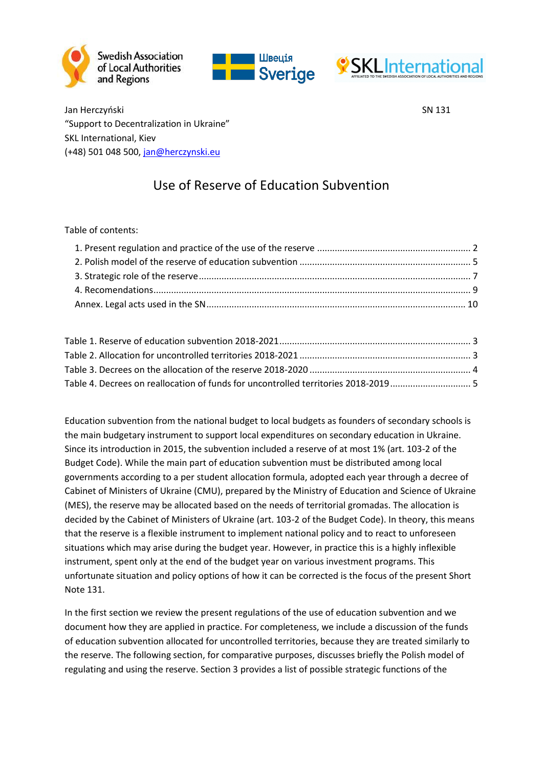





Jan Herczyński SN 131 "Support to Decentralization in Ukraine" SKL International, Kiev (+48) 501 048 500, [jan@herczynski.eu](mailto:jan@herczynski.eu)

# Use of Reserve of Education Subvention

Table of contents:

Education subvention from the national budget to local budgets as founders of secondary schools is the main budgetary instrument to support local expenditures on secondary education in Ukraine. Since its introduction in 2015, the subvention included a reserve of at most 1% (art. 103-2 of the Budget Code). While the main part of education subvention must be distributed among local governments according to a per student allocation formula, adopted each year through a decree of Cabinet of Ministers of Ukraine (CMU), prepared by the Ministry of Education and Science of Ukraine (MES), the reserve may be allocated based on the needs of territorial gromadas. The allocation is decided by the Cabinet of Ministers of Ukraine (art. 103-2 of the Budget Code). In theory, this means that the reserve is a flexible instrument to implement national policy and to react to unforeseen situations which may arise during the budget year. However, in practice this is a highly inflexible instrument, spent only at the end of the budget year on various investment programs. This unfortunate situation and policy options of how it can be corrected is the focus of the present Short Note 131.

In the first section we review the present regulations of the use of education subvention and we document how they are applied in practice. For completeness, we include a discussion of the funds of education subvention allocated for uncontrolled territories, because they are treated similarly to the reserve. The following section, for comparative purposes, discusses briefly the Polish model of regulating and using the reserve. Section 3 provides a list of possible strategic functions of the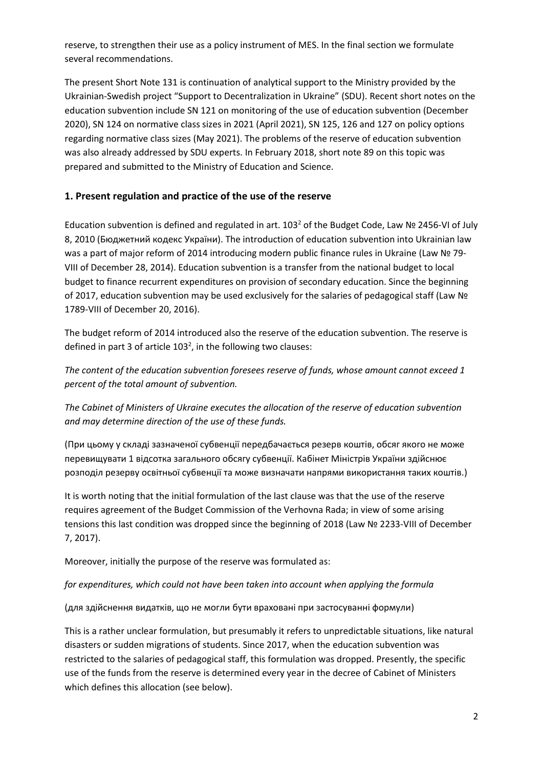reserve, to strengthen their use as a policy instrument of MES. In the final section we formulate several recommendations.

The present Short Note 131 is continuation of analytical support to the Ministry provided by the Ukrainian-Swedish project "Support to Decentralization in Ukraine" (SDU). Recent short notes on the education subvention include SN 121 on monitoring of the use of education subvention (December 2020), SN 124 on normative class sizes in 2021 (April 2021), SN 125, 126 and 127 on policy options regarding normative class sizes (May 2021). The problems of the reserve of education subvention was also already addressed by SDU experts. In February 2018, short note 89 on this topic was prepared and submitted to the Ministry of Education and Science.

## <span id="page-1-0"></span>**1. Present regulation and practice of the use of the reserve**

Education subvention is defined and regulated in art. 103<sup>2</sup> of the Budget Code, Law № 2456-VI of July 8, 2010 (Бюджетний кодекс України). The introduction of education subvention into Ukrainian law was a part of major reform of 2014 introducing modern public finance rules in Ukraine (Law № 79- VIII of December 28, 2014). Education subvention is a transfer from the national budget to local budget to finance recurrent expenditures on provision of secondary education. Since the beginning of 2017, education subvention may be used exclusively for the salaries of pedagogical staff (Law № 1789-VIII of December 20, 2016).

The budget reform of 2014 introduced also the reserve of the education subvention. The reserve is defined in part 3 of article  $103<sup>2</sup>$ , in the following two clauses:

*The content of the education subvention foresees reserve of funds, whose amount cannot exceed 1 percent of the total amount of subvention.*

*The Cabinet of Ministers of Ukraine executes the allocation of the reserve of education subvention and may determine direction of the use of these funds.*

(При цьому у складі зазначеної субвенції передбачається резерв коштів, обсяг якого не може перевищувати 1 відсотка загального обсягу субвенції. Кабінет Міністрів України здійснює розподіл резерву освітньої субвенції та може визначати напрями використання таких коштів.)

It is worth noting that the initial formulation of the last clause was that the use of the reserve requires agreement of the Budget Commission of the Verhovna Rada; in view of some arising tensions this last condition was dropped since the beginning of 2018 (Law № 2233-VIII of December 7, 2017).

Moreover, initially the purpose of the reserve was formulated as:

## *for expenditures, which could not have been taken into account when applying the formula*

(для здійснення видатків, що не могли бути враховані при застосуванні формули)

This is a rather unclear formulation, but presumably it refers to unpredictable situations, like natural disasters or sudden migrations of students. Since 2017, when the education subvention was restricted to the salaries of pedagogical staff, this formulation was dropped. Presently, the specific use of the funds from the reserve is determined every year in the decree of Cabinet of Ministers which defines this allocation (see below).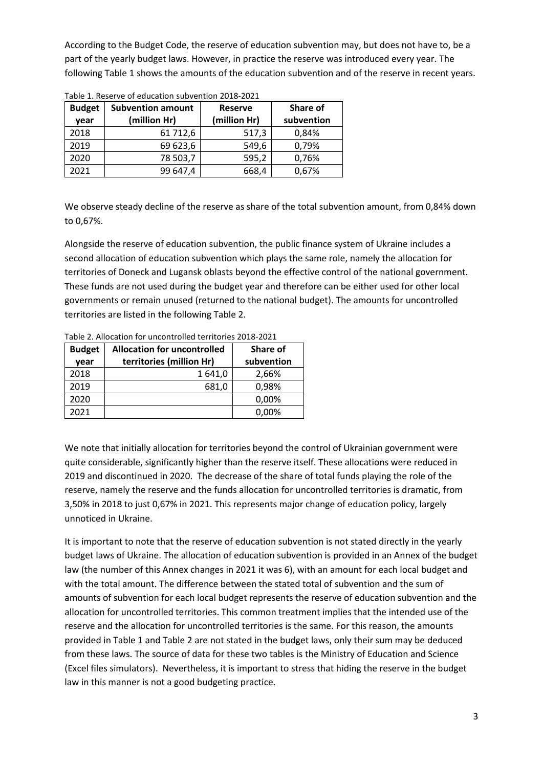According to the Budget Code, the reserve of education subvention may, but does not have to, be a part of the yearly budget laws. However, in practice the reserve was introduced every year. The followin[g Table 1](#page-2-0) shows the amounts of the education subvention and of the reserve in recent years.

| <b>Budget</b><br>vear | <b>Subvention amount</b><br>(million Hr) | <b>Reserve</b><br>(million Hr) | Share of<br>subvention |
|-----------------------|------------------------------------------|--------------------------------|------------------------|
| 2018                  | 61 712,6                                 | 517,3                          | 0,84%                  |
| 2019                  | 69 623,6                                 | 549,6                          | 0,79%                  |
| 2020                  | 78 503,7                                 | 595,2                          | 0,76%                  |
| 2021                  | 99 647,4                                 | 668,4                          | 0,67%                  |

<span id="page-2-0"></span>Table 1. Reserve of education subvention 2018-2021

We observe steady decline of the reserve as share of the total subvention amount, from 0,84% down to 0,67%.

Alongside the reserve of education subvention, the public finance system of Ukraine includes a second allocation of education subvention which plays the same role, namely the allocation for territories of Doneck and Lugansk oblasts beyond the effective control of the national government. These funds are not used during the budget year and therefore can be either used for other local governments or remain unused (returned to the national budget). The amounts for uncontrolled territories are listed in the following [Table 2.](#page-2-1)

| <b>Budget</b><br>year | <b>Allocation for uncontrolled</b><br>territories (million Hr) | Share of<br>subvention |
|-----------------------|----------------------------------------------------------------|------------------------|
| 2018                  | 1 641,0                                                        | 2,66%                  |
| 2019                  | 681,0                                                          | 0,98%                  |
| 2020                  |                                                                | 0,00%                  |
| 2021                  |                                                                | 0,00%                  |

<span id="page-2-1"></span>Table 2. Allocation for uncontrolled territories 2018-2021

We note that initially allocation for territories beyond the control of Ukrainian government were quite considerable, significantly higher than the reserve itself. These allocations were reduced in 2019 and discontinued in 2020. The decrease of the share of total funds playing the role of the reserve, namely the reserve and the funds allocation for uncontrolled territories is dramatic, from 3,50% in 2018 to just 0,67% in 2021. This represents major change of education policy, largely unnoticed in Ukraine.

It is important to note that the reserve of education subvention is not stated directly in the yearly budget laws of Ukraine. The allocation of education subvention is provided in an Annex of the budget law (the number of this Annex changes in 2021 it was 6), with an amount for each local budget and with the total amount. The difference between the stated total of subvention and the sum of amounts of subvention for each local budget represents the reserve of education subvention and the allocation for uncontrolled territories. This common treatment implies that the intended use of the reserve and the allocation for uncontrolled territories is the same. For this reason, the amounts provided in [Table 1](#page-2-0) an[d Table 2](#page-2-1) are not stated in the budget laws, only their sum may be deduced from these laws. The source of data for these two tables is the Ministry of Education and Science (Excel files simulators). Nevertheless, it is important to stress that hiding the reserve in the budget law in this manner is not a good budgeting practice.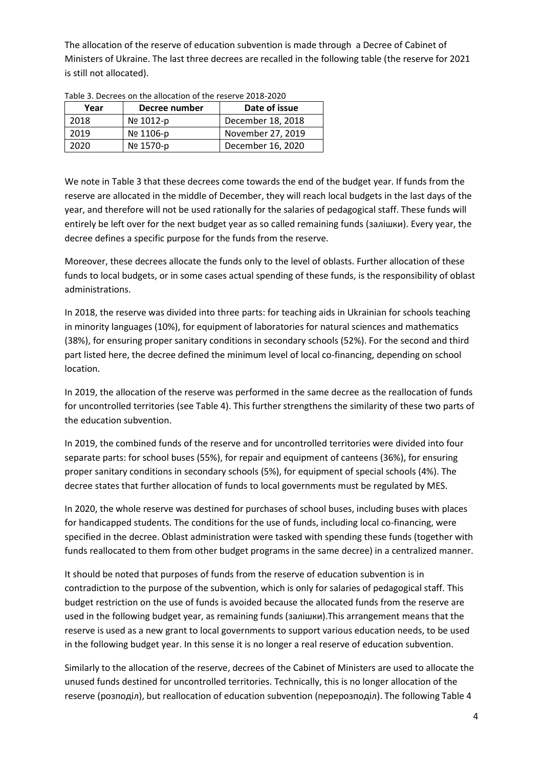The allocation of the reserve of education subvention is made through a Decree of Cabinet of Ministers of Ukraine. The last three decrees are recalled in the following table (the reserve for 2021 is still not allocated).

| Year | Decree number | Date of issue     |
|------|---------------|-------------------|
| 2018 | No 1012-p     | December 18, 2018 |
| 2019 | Nº 1106-p     | November 27, 2019 |
| 2020 | Nº 1570-p     | December 16, 2020 |

<span id="page-3-0"></span>Table 3. Decrees on the allocation of the reserve 2018-2020

We note i[n Table 3](#page-3-0) that these decrees come towards the end of the budget year. If funds from the reserve are allocated in the middle of December, they will reach local budgets in the last days of the year, and therefore will not be used rationally for the salaries of pedagogical staff. These funds will entirely be left over for the next budget year as so called remaining funds (залішки). Every year, the decree defines a specific purpose for the funds from the reserve.

Moreover, these decrees allocate the funds only to the level of oblasts. Further allocation of these funds to local budgets, or in some cases actual spending of these funds, is the responsibility of oblast administrations.

In 2018, the reserve was divided into three parts: for teaching aids in Ukrainian for schools teaching in minority languages (10%), for equipment of laboratories for natural sciences and mathematics (38%), for ensuring proper sanitary conditions in secondary schools (52%). For the second and third part listed here, the decree defined the minimum level of local co-financing, depending on school location.

In 2019, the allocation of the reserve was performed in the same decree as the reallocation of funds for uncontrolled territories (see [Table 4\)](#page-4-1). This further strengthens the similarity of these two parts of the education subvention.

In 2019, the combined funds of the reserve and for uncontrolled territories were divided into four separate parts: for school buses (55%), for repair and equipment of canteens (36%), for ensuring proper sanitary conditions in secondary schools (5%), for equipment of special schools (4%). The decree states that further allocation of funds to local governments must be regulated by MES.

In 2020, the whole reserve was destined for purchases of school buses, including buses with places for handicapped students. The conditions for the use of funds, including local co-financing, were specified in the decree. Oblast administration were tasked with spending these funds (together with funds reallocated to them from other budget programs in the same decree) in a centralized manner.

It should be noted that purposes of funds from the reserve of education subvention is in contradiction to the purpose of the subvention, which is only for salaries of pedagogical staff. This budget restriction on the use of funds is avoided because the allocated funds from the reserve are used in the following budget year, as remaining funds (залішки).This arrangement means that the reserve is used as a new grant to local governments to support various education needs, to be used in the following budget year. In this sense it is no longer a real reserve of education subvention.

Similarly to the allocation of the reserve, decrees of the Cabinet of Ministers are used to allocate the unused funds destined for uncontrolled territories. Technically, this is no longer allocation of the reserve (розподіл), but reallocation of education subvention (перерозподіл). The followin[g Table 4](#page-4-1)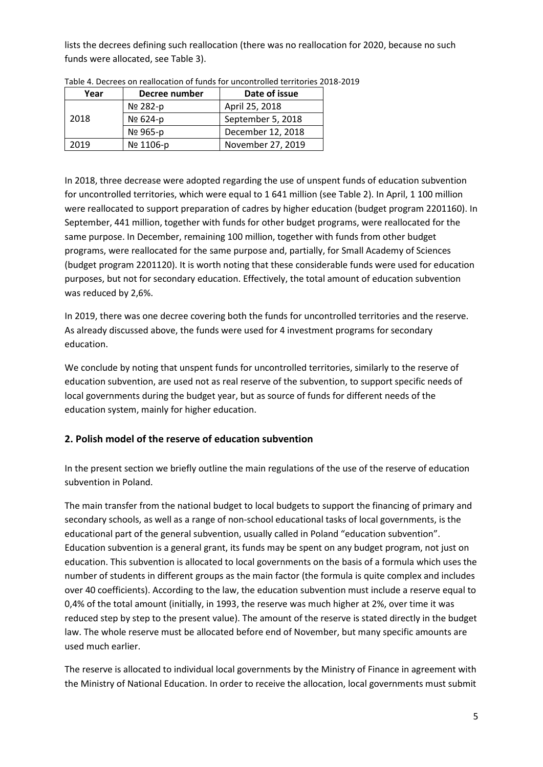lists the decrees defining such reallocation (there was no reallocation for 2020, because no such funds were allocated, se[e Table 3\)](#page-3-0).

| Year | Decree number | Date of issue     |
|------|---------------|-------------------|
|      | Nº 282-p      | April 25, 2018    |
| 2018 | Nº 624-p      | September 5, 2018 |
|      | Nº 965-p      | December 12, 2018 |
| 2019 | Nº 1106-p     | November 27, 2019 |

<span id="page-4-1"></span>Table 4. Decrees on reallocation of funds for uncontrolled territories 2018-2019

In 2018, three decrease were adopted regarding the use of unspent funds of education subvention for uncontrolled territories, which were equal to 1 641 million (see [Table 2\)](#page-2-1). In April, 1 100 million were reallocated to support preparation of cadres by higher education (budget program 2201160). In September, 441 million, together with funds for other budget programs, were reallocated for the same purpose. In December, remaining 100 million, together with funds from other budget programs, were reallocated for the same purpose and, partially, for Small Academy of Sciences (budget program 2201120). It is worth noting that these considerable funds were used for education purposes, but not for secondary education. Effectively, the total amount of education subvention was reduced by 2,6%.

In 2019, there was one decree covering both the funds for uncontrolled territories and the reserve. As already discussed above, the funds were used for 4 investment programs for secondary education.

We conclude by noting that unspent funds for uncontrolled territories, similarly to the reserve of education subvention, are used not as real reserve of the subvention, to support specific needs of local governments during the budget year, but as source of funds for different needs of the education system, mainly for higher education.

## <span id="page-4-0"></span>**2. Polish model of the reserve of education subvention**

In the present section we briefly outline the main regulations of the use of the reserve of education subvention in Poland.

The main transfer from the national budget to local budgets to support the financing of primary and secondary schools, as well as a range of non-school educational tasks of local governments, is the educational part of the general subvention, usually called in Poland "education subvention". Education subvention is a general grant, its funds may be spent on any budget program, not just on education. This subvention is allocated to local governments on the basis of a formula which uses the number of students in different groups as the main factor (the formula is quite complex and includes over 40 coefficients). According to the law, the education subvention must include a reserve equal to 0,4% of the total amount (initially, in 1993, the reserve was much higher at 2%, over time it was reduced step by step to the present value). The amount of the reserve is stated directly in the budget law. The whole reserve must be allocated before end of November, but many specific amounts are used much earlier.

The reserve is allocated to individual local governments by the Ministry of Finance in agreement with the Ministry of National Education. In order to receive the allocation, local governments must submit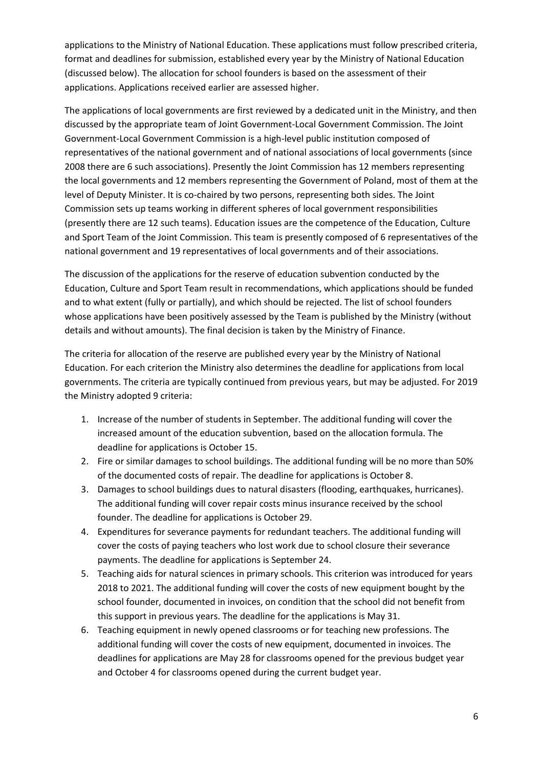applications to the Ministry of National Education. These applications must follow prescribed criteria, format and deadlines for submission, established every year by the Ministry of National Education (discussed below). The allocation for school founders is based on the assessment of their applications. Applications received earlier are assessed higher.

The applications of local governments are first reviewed by a dedicated unit in the Ministry, and then discussed by the appropriate team of Joint Government-Local Government Commission. The Joint Government-Local Government Commission is a high-level public institution composed of representatives of the national government and of national associations of local governments (since 2008 there are 6 such associations). Presently the Joint Commission has 12 members representing the local governments and 12 members representing the Government of Poland, most of them at the level of Deputy Minister. It is co-chaired by two persons, representing both sides. The Joint Commission sets up teams working in different spheres of local government responsibilities (presently there are 12 such teams). Education issues are the competence of the Education, Culture and Sport Team of the Joint Commission. This team is presently composed of 6 representatives of the national government and 19 representatives of local governments and of their associations.

The discussion of the applications for the reserve of education subvention conducted by the Education, Culture and Sport Team result in recommendations, which applications should be funded and to what extent (fully or partially), and which should be rejected. The list of school founders whose applications have been positively assessed by the Team is published by the Ministry (without details and without amounts). The final decision is taken by the Ministry of Finance.

The criteria for allocation of the reserve are published every year by the Ministry of National Education. For each criterion the Ministry also determines the deadline for applications from local governments. The criteria are typically continued from previous years, but may be adjusted. For 2019 the Ministry adopted 9 criteria:

- 1. Increase of the number of students in September. The additional funding will cover the increased amount of the education subvention, based on the allocation formula. The deadline for applications is October 15.
- 2. Fire or similar damages to school buildings. The additional funding will be no more than 50% of the documented costs of repair. The deadline for applications is October 8.
- 3. Damages to school buildings dues to natural disasters (flooding, earthquakes, hurricanes). The additional funding will cover repair costs minus insurance received by the school founder. The deadline for applications is October 29.
- 4. Expenditures for severance payments for redundant teachers. The additional funding will cover the costs of paying teachers who lost work due to school closure their severance payments. The deadline for applications is September 24.
- 5. Teaching aids for natural sciences in primary schools. This criterion was introduced for years 2018 to 2021. The additional funding will cover the costs of new equipment bought by the school founder, documented in invoices, on condition that the school did not benefit from this support in previous years. The deadline for the applications is May 31.
- 6. Teaching equipment in newly opened classrooms or for teaching new professions. The additional funding will cover the costs of new equipment, documented in invoices. The deadlines for applications are May 28 for classrooms opened for the previous budget year and October 4 for classrooms opened during the current budget year.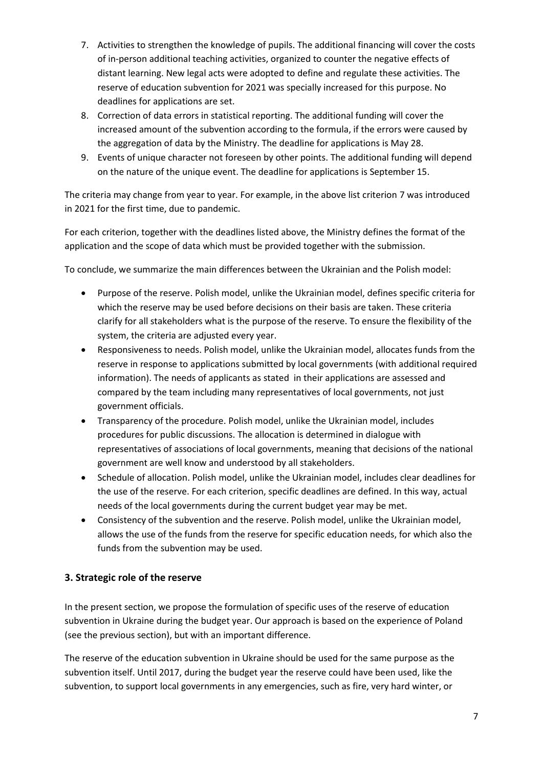- 7. Activities to strengthen the knowledge of pupils. The additional financing will cover the costs of in-person additional teaching activities, organized to counter the negative effects of distant learning. New legal acts were adopted to define and regulate these activities. The reserve of education subvention for 2021 was specially increased for this purpose. No deadlines for applications are set.
- 8. Correction of data errors in statistical reporting. The additional funding will cover the increased amount of the subvention according to the formula, if the errors were caused by the aggregation of data by the Ministry. The deadline for applications is May 28.
- 9. Events of unique character not foreseen by other points. The additional funding will depend on the nature of the unique event. The deadline for applications is September 15.

The criteria may change from year to year. For example, in the above list criterion 7 was introduced in 2021 for the first time, due to pandemic.

For each criterion, together with the deadlines listed above, the Ministry defines the format of the application and the scope of data which must be provided together with the submission.

To conclude, we summarize the main differences between the Ukrainian and the Polish model:

- Purpose of the reserve. Polish model, unlike the Ukrainian model, defines specific criteria for which the reserve may be used before decisions on their basis are taken. These criteria clarify for all stakeholders what is the purpose of the reserve. To ensure the flexibility of the system, the criteria are adjusted every year.
- Responsiveness to needs. Polish model, unlike the Ukrainian model, allocates funds from the reserve in response to applications submitted by local governments (with additional required information). The needs of applicants as stated in their applications are assessed and compared by the team including many representatives of local governments, not just government officials.
- Transparency of the procedure. Polish model, unlike the Ukrainian model, includes procedures for public discussions. The allocation is determined in dialogue with representatives of associations of local governments, meaning that decisions of the national government are well know and understood by all stakeholders.
- Schedule of allocation. Polish model, unlike the Ukrainian model, includes clear deadlines for the use of the reserve. For each criterion, specific deadlines are defined. In this way, actual needs of the local governments during the current budget year may be met.
- Consistency of the subvention and the reserve. Polish model, unlike the Ukrainian model, allows the use of the funds from the reserve for specific education needs, for which also the funds from the subvention may be used.

## <span id="page-6-0"></span>**3. Strategic role of the reserve**

In the present section, we propose the formulation of specific uses of the reserve of education subvention in Ukraine during the budget year. Our approach is based on the experience of Poland (see the previous section), but with an important difference.

The reserve of the education subvention in Ukraine should be used for the same purpose as the subvention itself. Until 2017, during the budget year the reserve could have been used, like the subvention, to support local governments in any emergencies, such as fire, very hard winter, or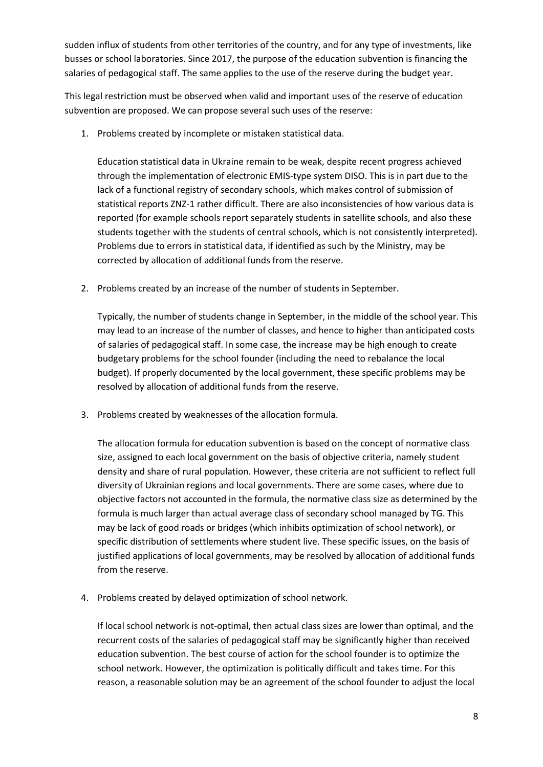sudden influx of students from other territories of the country, and for any type of investments, like busses or school laboratories. Since 2017, the purpose of the education subvention is financing the salaries of pedagogical staff. The same applies to the use of the reserve during the budget year.

This legal restriction must be observed when valid and important uses of the reserve of education subvention are proposed. We can propose several such uses of the reserve:

1. Problems created by incomplete or mistaken statistical data.

Education statistical data in Ukraine remain to be weak, despite recent progress achieved through the implementation of electronic EMIS-type system DISO. This is in part due to the lack of a functional registry of secondary schools, which makes control of submission of statistical reports ZNZ-1 rather difficult. There are also inconsistencies of how various data is reported (for example schools report separately students in satellite schools, and also these students together with the students of central schools, which is not consistently interpreted). Problems due to errors in statistical data, if identified as such by the Ministry, may be corrected by allocation of additional funds from the reserve.

2. Problems created by an increase of the number of students in September.

Typically, the number of students change in September, in the middle of the school year. This may lead to an increase of the number of classes, and hence to higher than anticipated costs of salaries of pedagogical staff. In some case, the increase may be high enough to create budgetary problems for the school founder (including the need to rebalance the local budget). If properly documented by the local government, these specific problems may be resolved by allocation of additional funds from the reserve.

3. Problems created by weaknesses of the allocation formula.

The allocation formula for education subvention is based on the concept of normative class size, assigned to each local government on the basis of objective criteria, namely student density and share of rural population. However, these criteria are not sufficient to reflect full diversity of Ukrainian regions and local governments. There are some cases, where due to objective factors not accounted in the formula, the normative class size as determined by the formula is much larger than actual average class of secondary school managed by TG. This may be lack of good roads or bridges (which inhibits optimization of school network), or specific distribution of settlements where student live. These specific issues, on the basis of justified applications of local governments, may be resolved by allocation of additional funds from the reserve.

4. Problems created by delayed optimization of school network.

If local school network is not-optimal, then actual class sizes are lower than optimal, and the recurrent costs of the salaries of pedagogical staff may be significantly higher than received education subvention. The best course of action for the school founder is to optimize the school network. However, the optimization is politically difficult and takes time. For this reason, a reasonable solution may be an agreement of the school founder to adjust the local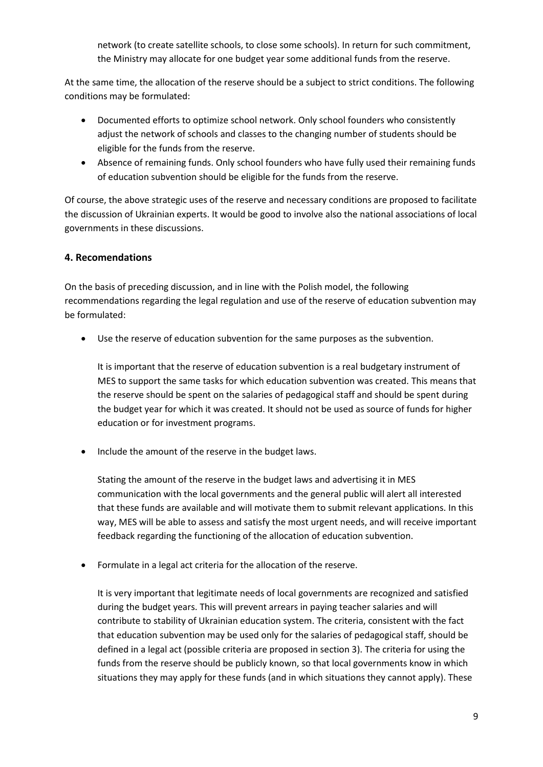network (to create satellite schools, to close some schools). In return for such commitment, the Ministry may allocate for one budget year some additional funds from the reserve.

At the same time, the allocation of the reserve should be a subject to strict conditions. The following conditions may be formulated:

- Documented efforts to optimize school network. Only school founders who consistently adjust the network of schools and classes to the changing number of students should be eligible for the funds from the reserve.
- Absence of remaining funds. Only school founders who have fully used their remaining funds of education subvention should be eligible for the funds from the reserve.

Of course, the above strategic uses of the reserve and necessary conditions are proposed to facilitate the discussion of Ukrainian experts. It would be good to involve also the national associations of local governments in these discussions.

## <span id="page-8-0"></span>**4. Recomendations**

On the basis of preceding discussion, and in line with the Polish model, the following recommendations regarding the legal regulation and use of the reserve of education subvention may be formulated:

• Use the reserve of education subvention for the same purposes as the subvention.

It is important that the reserve of education subvention is a real budgetary instrument of MES to support the same tasks for which education subvention was created. This means that the reserve should be spent on the salaries of pedagogical staff and should be spent during the budget year for which it was created. It should not be used as source of funds for higher education or for investment programs.

• Include the amount of the reserve in the budget laws.

Stating the amount of the reserve in the budget laws and advertising it in MES communication with the local governments and the general public will alert all interested that these funds are available and will motivate them to submit relevant applications. In this way, MES will be able to assess and satisfy the most urgent needs, and will receive important feedback regarding the functioning of the allocation of education subvention.

• Formulate in a legal act criteria for the allocation of the reserve.

It is very important that legitimate needs of local governments are recognized and satisfied during the budget years. This will prevent arrears in paying teacher salaries and will contribute to stability of Ukrainian education system. The criteria, consistent with the fact that education subvention may be used only for the salaries of pedagogical staff, should be defined in a legal act (possible criteria are proposed in section 3). The criteria for using the funds from the reserve should be publicly known, so that local governments know in which situations they may apply for these funds (and in which situations they cannot apply). These